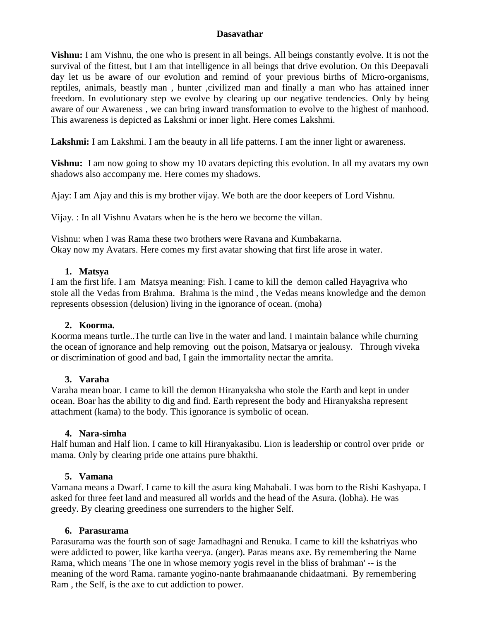# **Dasavathar**

**Vishnu:** I am Vishnu, the one who is present in all beings. All beings constantly evolve. It is not the survival of the fittest, but I am that intelligence in all beings that drive evolution. On this Deepavali day let us be aware of our evolution and remind of your previous births of Micro-organisms, reptiles, animals, beastly man , hunter ,civilized man and finally a man who has attained inner freedom. In evolutionary step we evolve by clearing up our negative tendencies. Only by being aware of our Awareness , we can bring inward transformation to evolve to the highest of manhood. This awareness is depicted as Lakshmi or inner light. Here comes Lakshmi.

Lakshmi: I am Lakshmi. I am the beauty in all life patterns. I am the inner light or awareness.

**Vishnu:** I am now going to show my 10 avatars depicting this evolution. In all my avatars my own shadows also accompany me. Here comes my shadows.

Ajay: I am Ajay and this is my brother vijay. We both are the door keepers of Lord Vishnu.

Vijay. : In all Vishnu Avatars when he is the hero we become the villan.

Vishnu: when I was Rama these two brothers were Ravana and Kumbakarna. Okay now my Avatars. Here comes my first avatar showing that first life arose in water.

# **1. Matsya**

I am the first life. I am Matsya meaning: Fish. I came to kill the demon called Hayagriva who stole all the Vedas from Brahma. Brahma is the mind , the Vedas means knowledge and the demon represents obsession (delusion) living in the ignorance of ocean. (moha)

# **2. Koorma.**

Koorma means turtle..The turtle can live in the water and land. I maintain balance while churning the ocean of ignorance and help removing out the poison, Matsarya or jealousy. Through viveka or discrimination of good and bad, I gain the immortality nectar the amrita.

# **3. Varaha**

Varaha mean boar. I came to kill the demon Hiranyaksha who stole the Earth and kept in under ocean. Boar has the ability to dig and find. Earth represent the body and Hiranyaksha represent attachment (kama) to the body. This ignorance is symbolic of ocean.

# **4. Nara-simha**

Half human and Half lion. I came to kill Hiranyakasibu. Lion is leadership or control over pride or mama. Only by clearing pride one attains pure bhakthi.

# **5. Vamana**

Vamana means a Dwarf. I came to kill the asura king Mahabali. I was born to the Rishi Kashyapa. I asked for three feet land and measured all worlds and the head of the Asura. (lobha). He was greedy. By clearing greediness one surrenders to the higher Self.

# **6. Parasurama**

Parasurama was the fourth son of sage Jamadhagni and Renuka. I came to kill the kshatriyas who were addicted to power, like kartha veerya. (anger). Paras means axe. By remembering the Name Rama, which means 'The one in whose memory yogis revel in the bliss of brahman' -- is the meaning of the word Rama. ramante yogino-nante brahmaanande chidaatmani. By remembering Ram , the Self, is the axe to cut addiction to power.